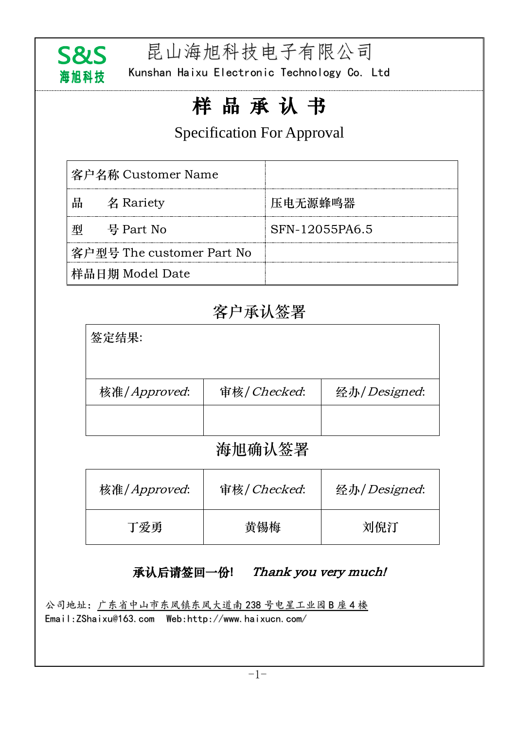

昆山海旭科技电子有限公司

Kunshan Haixu Electronic Technology Co. Ltd

# 样 品 承 认 书

## Specification For Approval

|   | 客户名称 Customer Name        |                |
|---|---------------------------|----------------|
| 品 | 名 Rariety                 | 压电无源蜂鸣器        |
|   | 号 Part No                 | SFN-12055PA6.5 |
|   | 客户型号 The customer Part No |                |
|   | 样品日期 Model Date           |                |

## 客户承认签署

| 签定结果:        |             |              |
|--------------|-------------|--------------|
| 核准/Approved: | 审核/Checked: | 经办/Designed: |
|              |             |              |
|              |             |              |

#### 海旭确认签署

| 核准/Approved: | 审核/Checked: | 经办/Designed: |
|--------------|-------------|--------------|
| 丁爱勇          | 黄锡梅         | 刘倪汀          |

#### 承认后请签回一份! Thank you very much!

公司地址:广东省中山市东凤镇东凤大道南 238 号电星工业园 B 座 4 楼 Email[:ZShaixu@163.com](http://www.haixucn.com/About1.Asp?id=12) Web:http://www.haixucn.com/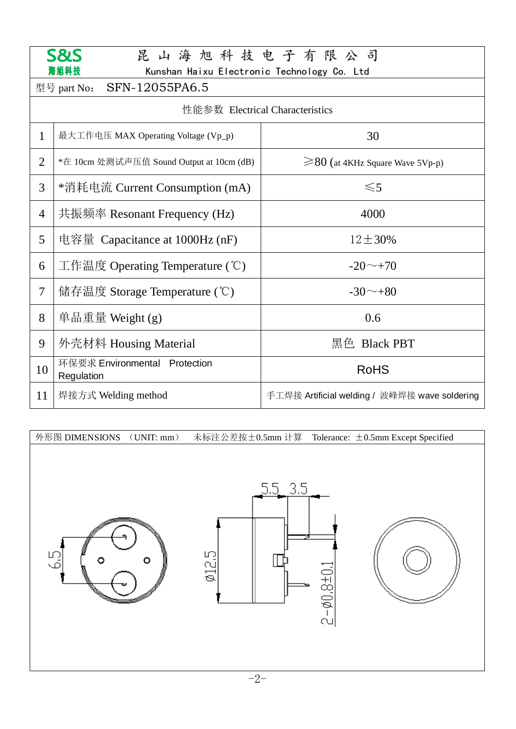|                                 | <b>S&amp;S</b><br>昆山海旭科技电子有限公司                      |                                               |  |  |  |  |  |  |  |  |  |  |
|---------------------------------|-----------------------------------------------------|-----------------------------------------------|--|--|--|--|--|--|--|--|--|--|
|                                 | 海旭科技<br>Kunshan Haixu Electronic Technology Co. Ltd |                                               |  |  |  |  |  |  |  |  |  |  |
|                                 | SFN-12055PA6.5<br>型号 part No:                       |                                               |  |  |  |  |  |  |  |  |  |  |
| 性能参数 Electrical Characteristics |                                                     |                                               |  |  |  |  |  |  |  |  |  |  |
| $\mathbf{1}$                    | 最大工作电压 MAX Operating Voltage (Vp_p)                 | 30                                            |  |  |  |  |  |  |  |  |  |  |
| $\overline{2}$                  | *在 10cm 处测试声压值 Sound Output at 10cm (dB)            | $\geq$ 80 (at 4KHz Square Wave 5Vp-p)         |  |  |  |  |  |  |  |  |  |  |
| 3                               | *消耗电流 Current Consumption (mA)                      | $\leq 5$                                      |  |  |  |  |  |  |  |  |  |  |
| $\overline{4}$                  | 共振频率 Resonant Frequency (Hz)                        | 4000                                          |  |  |  |  |  |  |  |  |  |  |
| 5                               | 电容量 Capacitance at $1000$ Hz (nF)                   | $12 \pm 30\%$                                 |  |  |  |  |  |  |  |  |  |  |
| 6                               | 工作温度 Operating Temperature $(\mathcal{C})$          | $-20 \sim +70$                                |  |  |  |  |  |  |  |  |  |  |
| 7                               | 储存温度 Storage Temperature (°C)                       | $-30^\sim +80$                                |  |  |  |  |  |  |  |  |  |  |
| 8                               | 单品重量 Weight $(g)$                                   | 0.6                                           |  |  |  |  |  |  |  |  |  |  |
| 9                               | 外壳材料 Housing Material                               | 黑色 Black PBT                                  |  |  |  |  |  |  |  |  |  |  |
| 10                              | 环保要求 Environmental Protection<br>Regulation         | <b>RoHS</b>                                   |  |  |  |  |  |  |  |  |  |  |
| 11                              | 焊接方式 Welding method                                 | 手工焊接 Artificial welding / 波峰焊接 wave soldering |  |  |  |  |  |  |  |  |  |  |

外形图 DIMENSIONS (UNIT: mm) 未标注公差按±0.5mm 计算 Tolerance: ±0.5mm Except Specified $3.5$  $5.5$  $\emptyset$ 12.5 ig<br>G  $\circ$  $\circ$  $2 - 0.8 + 0.1$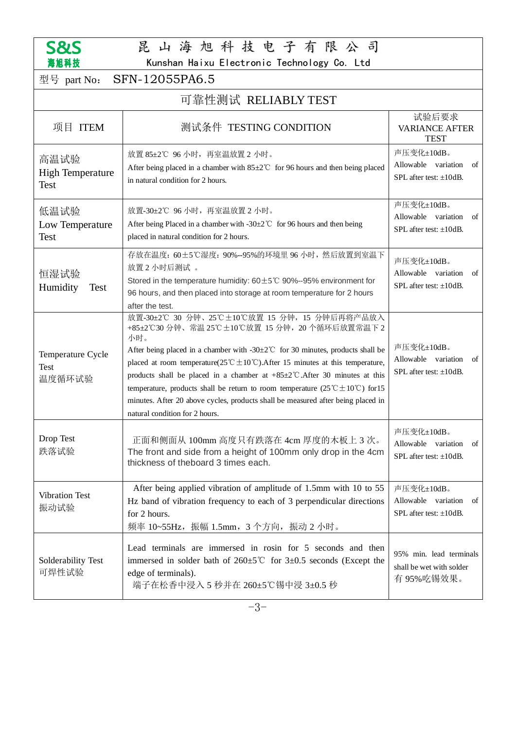

## 昆 山 海 旭 科 技 电 子 有 限 公 司

Kunshan Haixu Electronic Technology Co. Ltd

| 型号 part No:                                    | SFN-12055PA6.5                                                                                                                                                                                                                                                                                                                                                                                                                                                                                                                                                                                                                               |                                                                         |  |  |  |  |  |  |  |  |
|------------------------------------------------|----------------------------------------------------------------------------------------------------------------------------------------------------------------------------------------------------------------------------------------------------------------------------------------------------------------------------------------------------------------------------------------------------------------------------------------------------------------------------------------------------------------------------------------------------------------------------------------------------------------------------------------------|-------------------------------------------------------------------------|--|--|--|--|--|--|--|--|
| 可靠性测试 RELIABLY TEST                            |                                                                                                                                                                                                                                                                                                                                                                                                                                                                                                                                                                                                                                              |                                                                         |  |  |  |  |  |  |  |  |
| 项目 ITEM                                        | 测试条件 TESTING CONDITION                                                                                                                                                                                                                                                                                                                                                                                                                                                                                                                                                                                                                       | 试验后要求<br><b>VARIANCE AFTER</b><br><b>TEST</b>                           |  |  |  |  |  |  |  |  |
| 高温试验<br><b>High Temperature</b><br><b>Test</b> | 放置 85±2℃ 96 小时, 再室温放置 2 小时。<br>After being placed in a chamber with $85 \pm 2^{\circ}$ for 96 hours and then being placed<br>in natural condition for 2 hours.                                                                                                                                                                                                                                                                                                                                                                                                                                                                               | 声压变化±10dB。<br>Allowable variation of<br>SPL after test: $\pm 10$ dB.    |  |  |  |  |  |  |  |  |
| 低温试验<br>Low Temperature<br><b>Test</b>         | 放置-30±2℃ 96 小时, 再室温放置 2 小时。<br>After being Placed in a chamber with -30 $\pm$ 2°C for 96 hours and then being<br>placed in natural condition for 2 hours.                                                                                                                                                                                                                                                                                                                                                                                                                                                                                    | 声压变化±10dB。<br>Allowable variation of<br>SPL after test: $\pm 10$ dB.    |  |  |  |  |  |  |  |  |
| 恒湿试验<br>Humidity<br><b>Test</b>                | 存放在温度: 60±5℃湿度: 90%--95%的环境里 96 小时, 然后放置到室温下<br>放置2小时后测试。<br>Stored in the temperature humidity: $60 \pm 5^{\circ}$ 20%--95% environment for<br>96 hours, and then placed into storage at room temperature for 2 hours<br>after the test.                                                                                                                                                                                                                                                                                                                                                                                                    | 声压变化±10dB。<br>Allowable variation<br>of<br>SPL after test: $+10dB$ .    |  |  |  |  |  |  |  |  |
| Temperature Cycle<br><b>Test</b><br>温度循环试验     | 放置-30±2℃ 30 分钟、25℃±10℃放置 15 分钟, 15 分钟后再将产品放入<br>+85±2℃30 分钟、常温 25℃±10℃放置 15 分钟, 20 个循环后放置常温下 2<br>小时。<br>After being placed in a chamber with -30 $\pm$ 2°C for 30 minutes, products shall be<br>placed at room temperature( $25^{\circ}\text{C} \pm 10^{\circ}\text{C}$ ). After 15 minutes at this temperature,<br>products shall be placed in a chamber at $+85\pm2$ °C. After 30 minutes at this<br>temperature, products shall be return to room temperature $(25^{\circ}\text{C} \pm 10^{\circ}\text{C})$ for 15<br>minutes. After 20 above cycles, products shall be measured after being placed in<br>natural condition for 2 hours. | 声压变化±10dB。<br>Allowable variation<br>of<br>SPL after test: ±10dB.       |  |  |  |  |  |  |  |  |
| Drop Test<br>跌落试验                              | 正面和侧面从 100mm 高度只有跌落在 4cm 厚度的木板上 3 次。<br>The front and side from a height of 100mm only drop in the 4cm<br>thickness of theboard 3 times each.                                                                                                                                                                                                                                                                                                                                                                                                                                                                                                | 声压变化±10dB。<br>Allowable variation<br>of<br>SPL after test: $\pm 10$ dB. |  |  |  |  |  |  |  |  |
| <b>Vibration Test</b><br>振动试验                  | After being applied vibration of amplitude of 1.5mm with 10 to 55<br>Hz band of vibration frequency to each of 3 perpendicular directions<br>for 2 hours.<br>频率 10~55Hz, 振幅 1.5mm, 3个方向, 振动 2 小时。                                                                                                                                                                                                                                                                                                                                                                                                                                            | 声压变化±10dB。<br>Allowable variation<br>of<br>SPL after test: $\pm 10$ dB. |  |  |  |  |  |  |  |  |
| Solderability Test<br>可焊性试验                    | Lead terminals are immersed in rosin for 5 seconds and then<br>immersed in solder bath of $260 \pm 5^{\circ}$ for $3 \pm 0.5$ seconds (Except the<br>edge of terminals).<br>端子在松香中浸入5秒并在 260±5℃锡中浸 3±0.5秒                                                                                                                                                                                                                                                                                                                                                                                                                                    | 95% min. lead terminals<br>shall be wet with solder<br>有95%吃锡效果。        |  |  |  |  |  |  |  |  |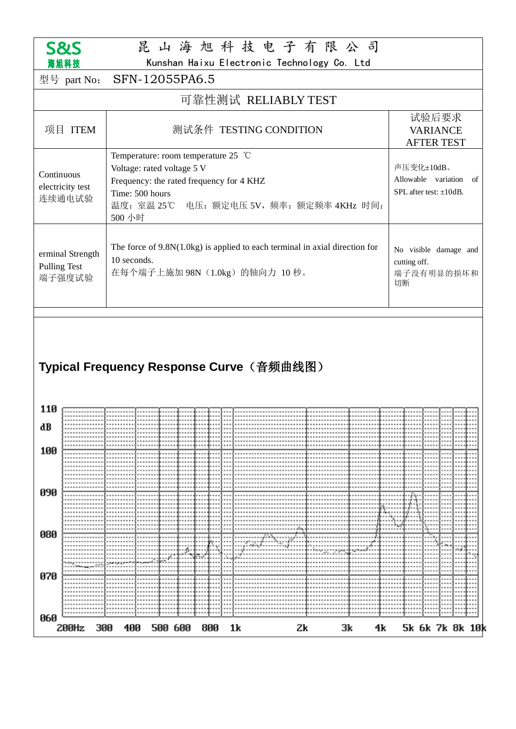

#### 昆 山 海 旭 科 技 电 子 有 限 公 司

Kunshan Haixu Electronic Technology Co. Ltd

| 港旭科抆<br>Kunshan Haixu Electronic Technology Co. Ltd |                                                                                  |                                                                                                                                                                                                   |                                                                                                                                |  |      |  |  |  |      |                                               |                                                                         |                                                           |  |  |  |  |  |
|-----------------------------------------------------|----------------------------------------------------------------------------------|---------------------------------------------------------------------------------------------------------------------------------------------------------------------------------------------------|--------------------------------------------------------------------------------------------------------------------------------|--|------|--|--|--|------|-----------------------------------------------|-------------------------------------------------------------------------|-----------------------------------------------------------|--|--|--|--|--|
|                                                     | 型号 part No:                                                                      | SFN-12055PA6.5                                                                                                                                                                                    |                                                                                                                                |  |      |  |  |  |      |                                               |                                                                         |                                                           |  |  |  |  |  |
| 可靠性测试 RELIABLY TEST                                 |                                                                                  |                                                                                                                                                                                                   |                                                                                                                                |  |      |  |  |  |      |                                               |                                                                         |                                                           |  |  |  |  |  |
|                                                     | 项目 ITEM                                                                          | 测试条件 TESTING CONDITION                                                                                                                                                                            |                                                                                                                                |  |      |  |  |  |      | 试验后要求<br><b>VARIANCE</b><br><b>AFTER TEST</b> |                                                                         |                                                           |  |  |  |  |  |
| Continuous                                          | electricity test<br>连续通电试验                                                       | Temperature: room temperature 25 $^{\circ}$ C<br>Voltage: rated voltage 5 V<br>Frequency: the rated frequency for 4 KHZ<br>Time: 500 hours<br>温度: 室温 25℃ 电压: 额定电压 5V, 频率: 额定频率 4KHz 时间:<br>500 小时 |                                                                                                                                |  |      |  |  |  |      |                                               | 声压变化±10dB。<br>Allowable variation<br>of<br>SPL after test: $\pm 10$ dB. |                                                           |  |  |  |  |  |
| <b>Pulling Test</b>                                 | erminal Strength<br>端子强度试验                                                       |                                                                                                                                                                                                   | The force of $9.8N(1.0kg)$ is applied to each terminal in axial direction for<br>10 seconds.<br>在每个端子上施加 98N (1.0kg) 的轴向力 10秒。 |  |      |  |  |  |      |                                               |                                                                         | No visible damage and<br>cutting off.<br>端子没有明显的损坏和<br>切断 |  |  |  |  |  |
| Typical Frequency Response Curve(音频曲线图)             |                                                                                  |                                                                                                                                                                                                   |                                                                                                                                |  |      |  |  |  |      |                                               |                                                                         |                                                           |  |  |  |  |  |
| 110                                                 |                                                                                  |                                                                                                                                                                                                   |                                                                                                                                |  |      |  |  |  |      |                                               |                                                                         |                                                           |  |  |  |  |  |
| dB                                                  |                                                                                  |                                                                                                                                                                                                   |                                                                                                                                |  |      |  |  |  |      |                                               |                                                                         |                                                           |  |  |  |  |  |
| 100                                                 |                                                                                  |                                                                                                                                                                                                   |                                                                                                                                |  |      |  |  |  |      |                                               |                                                                         |                                                           |  |  |  |  |  |
| 090                                                 |                                                                                  |                                                                                                                                                                                                   |                                                                                                                                |  |      |  |  |  | <br> |                                               |                                                                         |                                                           |  |  |  |  |  |
| 080                                                 |                                                                                  |                                                                                                                                                                                                   |                                                                                                                                |  |      |  |  |  |      |                                               |                                                                         |                                                           |  |  |  |  |  |
| 070                                                 |                                                                                  |                                                                                                                                                                                                   |                                                                                                                                |  | **** |  |  |  |      |                                               |                                                                         |                                                           |  |  |  |  |  |
| 060                                                 |                                                                                  |                                                                                                                                                                                                   |                                                                                                                                |  |      |  |  |  |      |                                               |                                                                         |                                                           |  |  |  |  |  |
|                                                     | 200Hz<br>400<br>800<br>1k<br>Зk<br>5k 6k 7k 8k 10k<br>300<br>500 600<br>Zk<br>4k |                                                                                                                                                                                                   |                                                                                                                                |  |      |  |  |  |      |                                               |                                                                         |                                                           |  |  |  |  |  |